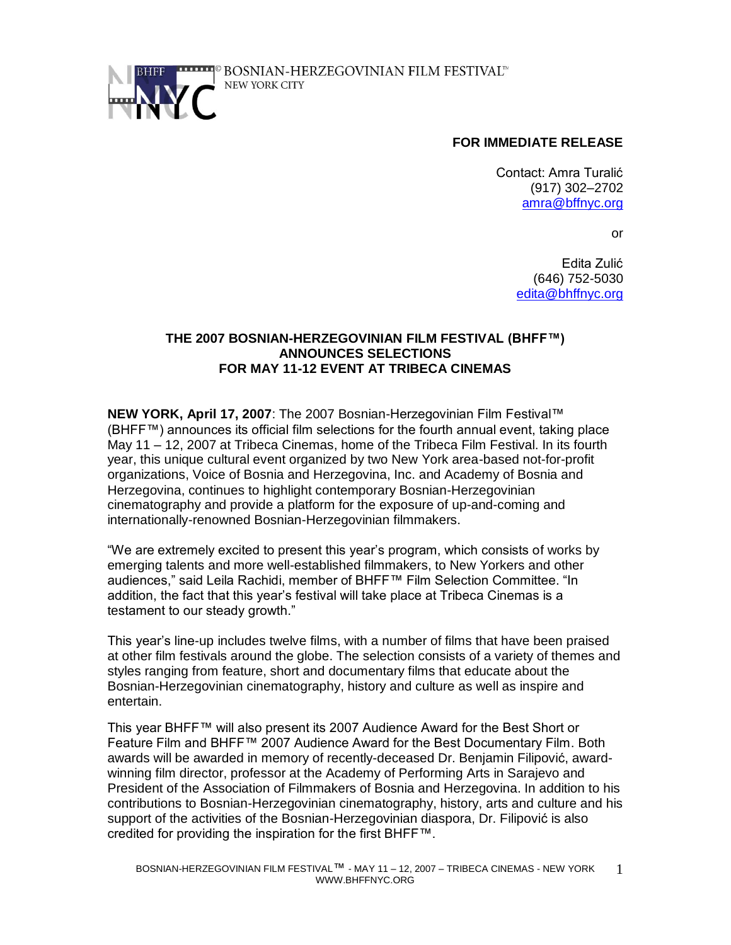

# **FOR IMMEDIATE RELEASE**

Contact: Amra Turalić (917) 302–2702 [amra@bffnyc.org](mailto:amra@bffnyc.org)

or

Edita Zulić (646) 752-5030 [edita@bhffnyc.org](mailto:edita@bhffnyc.org)

## **THE 2007 BOSNIAN-HERZEGOVINIAN FILM FESTIVAL (BHFF™) ANNOUNCES SELECTIONS FOR MAY 11-12 EVENT AT TRIBECA CINEMAS**

**NEW YORK, April 17, 2007**: The 2007 Bosnian-Herzegovinian Film Festival™ (BHFF™) announces its official film selections for the fourth annual event, taking place May 11 – 12, 2007 at Tribeca Cinemas, home of the Tribeca Film Festival. In its fourth year, this unique cultural event organized by two New York area-based not-for-profit organizations, Voice of Bosnia and Herzegovina, Inc. and Academy of Bosnia and Herzegovina, continues to highlight contemporary Bosnian-Herzegovinian cinematography and provide a platform for the exposure of up-and-coming and internationally-renowned Bosnian-Herzegovinian filmmakers.

"We are extremely excited to present this year's program, which consists of works by emerging talents and more well-established filmmakers, to New Yorkers and other audiences," said Leila Rachidi, member of BHFF™ Film Selection Committee. "In addition, the fact that this year's festival will take place at Tribeca Cinemas is a testament to our steady growth."

This year's line-up includes twelve films, with a number of films that have been praised at other film festivals around the globe. The selection consists of a variety of themes and styles ranging from feature, short and documentary films that educate about the Bosnian-Herzegovinian cinematography, history and culture as well as inspire and entertain.

This year BHFF™ will also present its 2007 Audience Award for the Best Short or Feature Film and BHFF™ 2007 Audience Award for the Best Documentary Film. Both awards will be awarded in memory of recently-deceased Dr. Benjamin Filipović, awardwinning film director, professor at the Academy of Performing Arts in Sarajevo and President of the Association of Filmmakers of Bosnia and Herzegovina. In addition to his contributions to Bosnian-Herzegovinian cinematography, history, arts and culture and his support of the activities of the Bosnian-Herzegovinian diaspora, Dr. Filipović is also credited for providing the inspiration for the first BHFF™.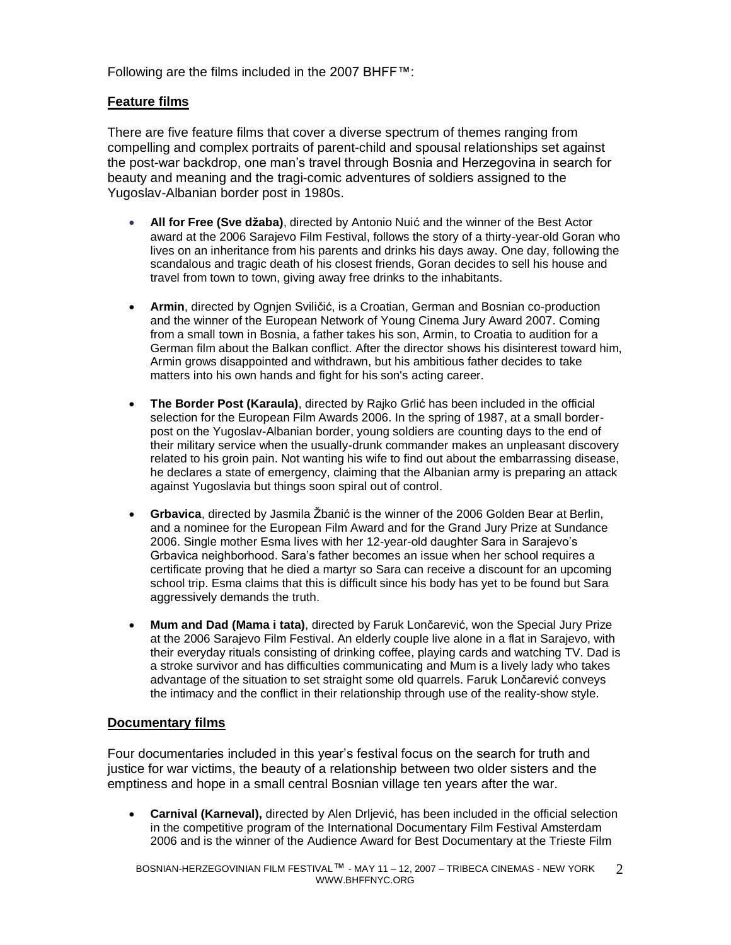Following are the films included in the 2007 BHFF™:

## **Feature films**

There are five feature films that cover a diverse spectrum of themes ranging from compelling and complex portraits of parent-child and spousal relationships set against the post-war backdrop, one man's travel through Bosnia and Herzegovina in search for beauty and meaning and the tragi-comic adventures of soldiers assigned to the Yugoslav-Albanian border post in 1980s.

- **All for Free (Sve džaba)**, directed by Antonio Nuić and the winner of the Best Actor award at the 2006 Sarajevo Film Festival, follows the story of a thirty-year-old Goran who lives on an inheritance from his parents and drinks his days away. One day, following the scandalous and tragic death of his closest friends, Goran decides to sell his house and travel from town to town, giving away free drinks to the inhabitants.
- **Armin**, directed by Ognjen Sviličić, is a Croatian, German and Bosnian co-production and the winner of the European Network of Young Cinema Jury Award 2007. Coming from a small town in Bosnia, a father takes his son, Armin, to Croatia to audition for a German film about the Balkan conflict. After the director shows his disinterest toward him, Armin grows disappointed and withdrawn, but his ambitious father decides to take matters into his own hands and fight for his son's acting career.
- **The Border Post (Karaula)**, directed by Rajko Grlić has been included in the official selection for the European Film Awards 2006. In the spring of 1987, at a small borderpost on the Yugoslav-Albanian border, young soldiers are counting days to the end of their military service when the usually-drunk commander makes an unpleasant discovery related to his groin pain. Not wanting his wife to find out about the embarrassing disease, he declares a state of emergency, claiming that the Albanian army is preparing an attack against Yugoslavia but things soon spiral out of control.
- **Grbavica**, directed by Jasmila Žbanić is the winner of the 2006 Golden Bear at Berlin, and a nominee for the European Film Award and for the Grand Jury Prize at Sundance 2006. Single mother Esma lives with her 12-year-old daughter Sara in Sarajevo's Grbavica neighborhood. Sara's father becomes an issue when her school requires a certificate proving that he died a martyr so Sara can receive a discount for an upcoming school trip. Esma claims that this is difficult since his body has yet to be found but Sara aggressively demands the truth.
- **Mum and Dad (Mama i tata)**, directed by Faruk Lončarević, won the Special Jury Prize at the 2006 Sarajevo Film Festival. An elderly couple live alone in a flat in Sarajevo, with their everyday rituals consisting of drinking coffee, playing cards and watching TV. Dad is a stroke survivor and has difficulties communicating and Mum is a lively lady who takes advantage of the situation to set straight some old quarrels. Faruk Lončarević conveys the intimacy and the conflict in their relationship through use of the reality-show style.

## **Documentary films**

Four documentaries included in this year's festival focus on the search for truth and justice for war victims, the beauty of a relationship between two older sisters and the emptiness and hope in a small central Bosnian village ten years after the war.

**Carnival (Karneval),** directed by Alen Drljević, has been included in the official selection in the competitive program of the International Documentary Film Festival Amsterdam 2006 and is the winner of the Audience Award for Best Documentary at the Trieste Film

BOSNIAN-HERZEGOVINIAN FILM FESTIVAL™ - MAY 11 – 12, 2007 – TRIBECA CINEMAS - NEW YORK WWW.BHFFNYC.ORG 2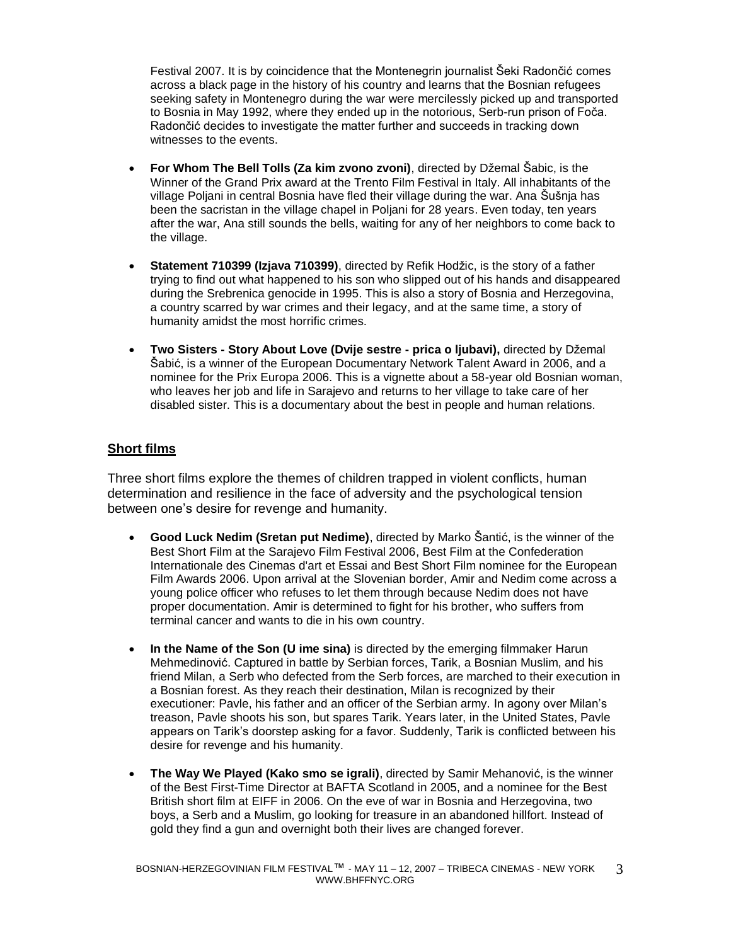Festival 2007. It is by coincidence that the Montenegrin journalist Šeki Radončić comes across a black page in the history of his country and learns that the Bosnian refugees seeking safety in Montenegro during the war were mercilessly picked up and transported to Bosnia in May 1992, where they ended up in the notorious, Serb-run prison of Foča. Radončić decides to investigate the matter further and succeeds in tracking down witnesses to the events.

- **For Whom The Bell Tolls (Za kim zvono zvoni)**, directed by Džemal Šabic, is the Winner of the Grand Prix award at the Trento Film Festival in Italy. All inhabitants of the village Poljani in central Bosnia have fled their village during the war. Ana Šušnja has been the sacristan in the village chapel in Poljani for 28 years. Even today, ten years after the war, Ana still sounds the bells, waiting for any of her neighbors to come back to the village.
- **Statement 710399 (Izjava 710399)**, directed by Refik Hodžic, is the story of a father trying to find out what happened to his son who slipped out of his hands and disappeared during the Srebrenica genocide in 1995. This is also a story of Bosnia and Herzegovina, a country scarred by war crimes and their legacy, and at the same time, a story of humanity amidst the most horrific crimes.
- **•** Two Sisters Story About Love (Dvije sestre prica o ljubavi), directed by Džemal Šabić, is a winner of the European Documentary Network Talent Award in 2006, and a nominee for the Prix Europa 2006. This is a vignette about a 58-year old Bosnian woman, who leaves her job and life in Sarajevo and returns to her village to take care of her disabled sister. This is a documentary about the best in people and human relations.

## **Short films**

Three short films explore the themes of children trapped in violent conflicts, human determination and resilience in the face of adversity and the psychological tension between one's desire for revenge and humanity.

- **Good Luck Nedim (Sretan put Nedime)**, directed by Marko Šantić, is the winner of the Best Short Film at the Sarajevo Film Festival 2006, Best Film at the Confederation Internationale des Cinemas d'art et Essai and Best Short Film nominee for the European Film Awards 2006. Upon arrival at the Slovenian border, Amir and Nedim come across a young police officer who refuses to let them through because Nedim does not have proper documentation. Amir is determined to fight for his brother, who suffers from terminal cancer and wants to die in his own country.
- **In the Name of the Son (U ime sina)** is directed by the emerging filmmaker Harun Mehmedinović. Captured in battle by Serbian forces, Tarik, a Bosnian Muslim, and his friend Milan, a Serb who defected from the Serb forces, are marched to their execution in a Bosnian forest. As they reach their destination, Milan is recognized by their executioner: Pavle, his father and an officer of the Serbian army. In agony over Milan's treason, Pavle shoots his son, but spares Tarik. Years later, in the United States, Pavle appears on Tarik's doorstep asking for a favor. Suddenly, Tarik is conflicted between his desire for revenge and his humanity.
- **The Way We Played (Kako smo se igrali)**, directed by Samir Mehanović, is the winner of the Best First-Time Director at BAFTA Scotland in 2005, and a nominee for the Best British short film at EIFF in 2006. On the eve of war in Bosnia and Herzegovina, two boys, a Serb and a Muslim, go looking for treasure in an abandoned hillfort. Instead of gold they find a gun and overnight both their lives are changed forever.